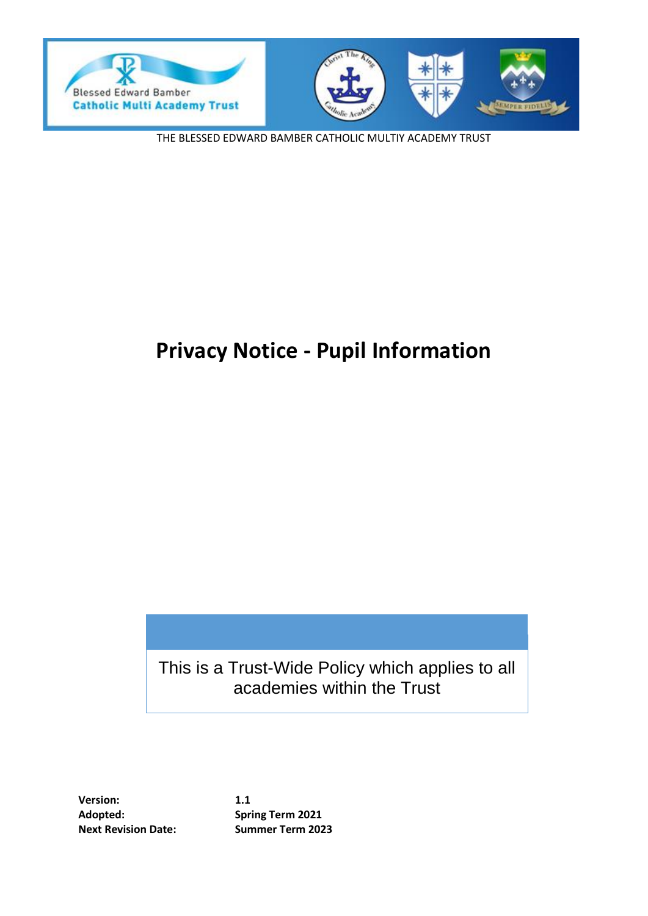



THE BLESSED EDWARD BAMBER CATHOLIC MULTIY ACADEMY TRUST

# **Privacy Notice - Pupil Information**

This is a Trust-Wide Policy which applies to all academies within the Trust

**Version: 1.1 Adopted: Spring Term 2021 Next Revision Date: Summer Term 2023**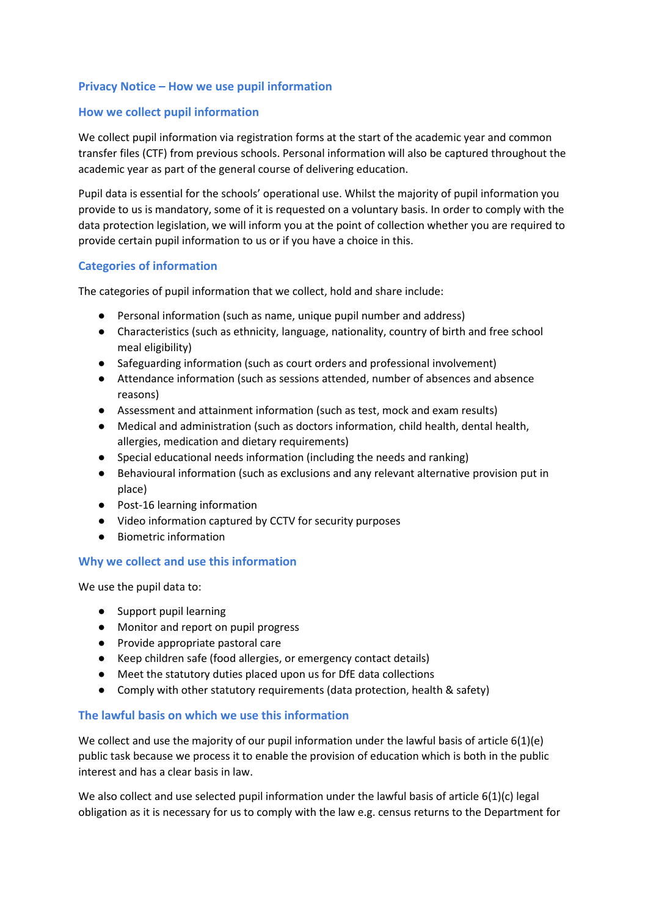## **Privacy Notice – How we use pupil information**

### **How we collect pupil information**

We collect pupil information via registration forms at the start of the academic year and common transfer files (CTF) from previous schools. Personal information will also be captured throughout the academic year as part of the general course of delivering education.

Pupil data is essential for the schools' operational use. Whilst the majority of pupil information you provide to us is mandatory, some of it is requested on a voluntary basis. In order to comply with the data protection legislation, we will inform you at the point of collection whether you are required to provide certain pupil information to us or if you have a choice in this.

#### **Categories of information**

The categories of pupil information that we collect, hold and share include:

- Personal information (such as name, unique pupil number and address)
- Characteristics (such as ethnicity, language, nationality, country of birth and free school meal eligibility)
- Safeguarding information (such as court orders and professional involvement)
- Attendance information (such as sessions attended, number of absences and absence reasons)
- Assessment and attainment information (such as test, mock and exam results)
- Medical and administration (such as doctors information, child health, dental health, allergies, medication and dietary requirements)
- Special educational needs information (including the needs and ranking)
- Behavioural information (such as exclusions and any relevant alternative provision put in place)
- Post-16 learning information
- Video information captured by CCTV for security purposes
- Biometric information

## **Why we collect and use this information**

We use the pupil data to:

- Support pupil learning
- Monitor and report on pupil progress
- Provide appropriate pastoral care
- Keep children safe (food allergies, or emergency contact details)
- Meet the statutory duties placed upon us for DfE data collections
- Comply with other statutory requirements (data protection, health & safety)

#### **The lawful basis on which we use this information**

We collect and use the majority of our pupil information under the lawful basis of article 6(1)(e) public task because we process it to enable the provision of education which is both in the public interest and has a clear basis in law.

We also collect and use selected pupil information under the lawful basis of article 6(1)(c) legal obligation as it is necessary for us to comply with the law e.g. census returns to the Department for